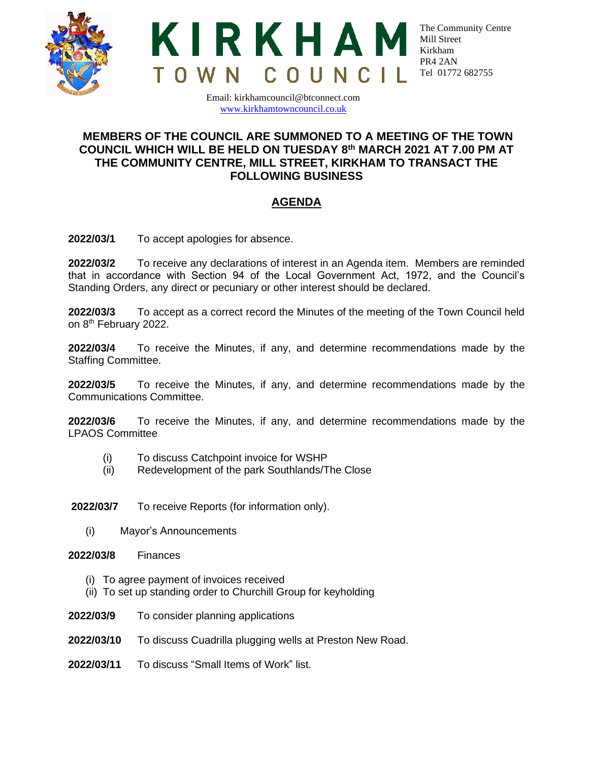



The Community Centre Mill Street Kirkham PR4 2AN Tel 01772 682755

Email: kirkhamcouncil@btconnect.com [www.kirkhamtowncouncil.co.uk](http://www.kirkhamtowncouncil.co.uk/)

## **MEMBERS OF THE COUNCIL ARE SUMMONED TO A MEETING OF THE TOWN COUNCIL WHICH WILL BE HELD ON TUESDAY 8 th MARCH 2021 AT 7.00 PM AT THE COMMUNITY CENTRE, MILL STREET, KIRKHAM TO TRANSACT THE FOLLOWING BUSINESS**

# **AGENDA**

**2022/03/1** To accept apologies for absence.

**2022/03/2** To receive any declarations of interest in an Agenda item. Members are reminded that in accordance with Section 94 of the Local Government Act, 1972, and the Council's Standing Orders, any direct or pecuniary or other interest should be declared.

**2022/03/3** To accept as a correct record the Minutes of the meeting of the Town Council held on 8<sup>th</sup> February 2022.

**2022/03/4** To receive the Minutes, if any, and determine recommendations made by the Staffing Committee.

**2022/03/5** To receive the Minutes, if any, and determine recommendations made by the Communications Committee.

**2022/03/6** To receive the Minutes, if any, and determine recommendations made by the LPAOS Committee

- (i) To discuss Catchpoint invoice for WSHP
- (ii) Redevelopment of the park Southlands/The Close

**2022/03/7** To receive Reports (for information only).

(i) Mayor's Announcements

**2022/03/8** Finances

- (i) To agree payment of invoices received
- (ii) To set up standing order to Churchill Group for keyholding
- **2022/03/9** To consider planning applications
- **2022/03/10** To discuss Cuadrilla plugging wells at Preston New Road.
- **2022/03/11** To discuss "Small Items of Work" list.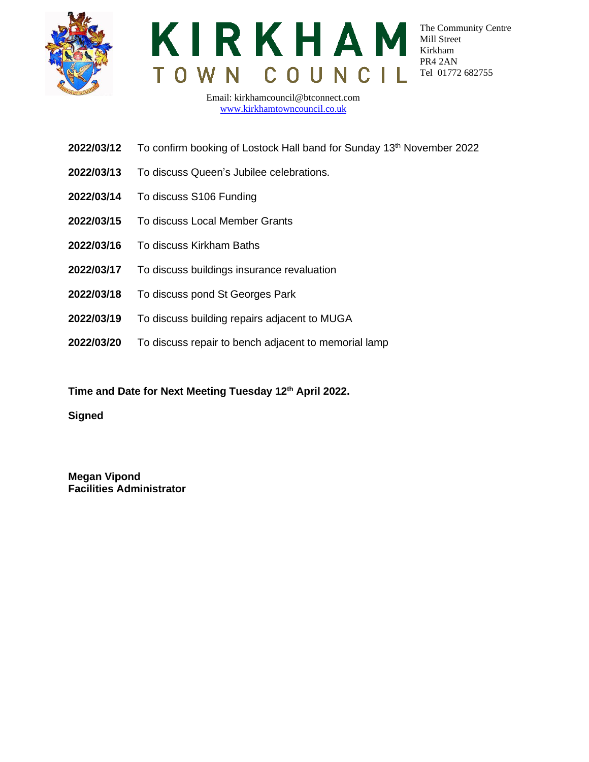



The Community Centre Mill Street Kirkham PR4 2AN Tel 01772 682755

Email: kirkhamcouncil@btconnect.com [www.kirkhamtowncouncil.co.uk](http://www.kirkhamtowncouncil.co.uk/)

- **2022/03/12** To confirm booking of Lostock Hall band for Sunday 13<sup>th</sup> November 2022
- **2022/03/13** To discuss Queen's Jubilee celebrations.
- **2022/03/14** To discuss S106 Funding
- **2022/03/15** To discuss Local Member Grants
- **2022/03/16** To discuss Kirkham Baths
- **2022/03/17** To discuss buildings insurance revaluation
- **2022/03/18** To discuss pond St Georges Park
- **2022/03/19** To discuss building repairs adjacent to MUGA
- **2022/03/20** To discuss repair to bench adjacent to memorial lamp

**Time and Date for Next Meeting Tuesday 12th April 2022.** 

**Signed**

**Megan Vipond Facilities Administrator**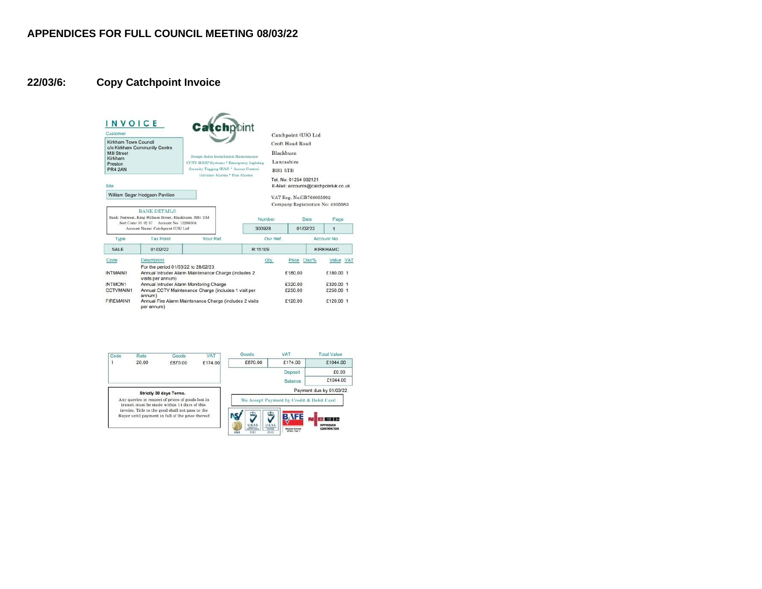## **22/03/6: Copy Catchpoint Invoice**



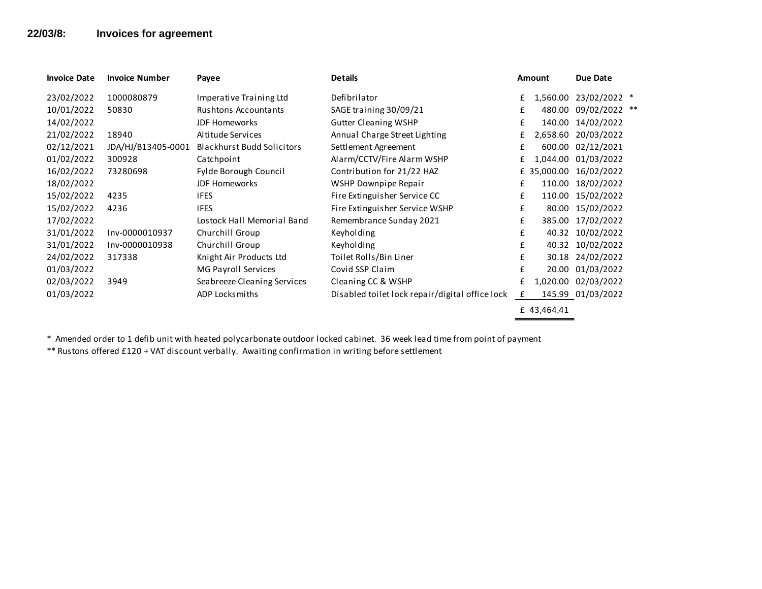## **22/03/8: Invoices for agreement**

| <b>Invoice Date</b> | <b>Invoice Number</b> | Payee                             | <b>Details</b>                                  |   | <b>Amount</b> | Due Date         |  |
|---------------------|-----------------------|-----------------------------------|-------------------------------------------------|---|---------------|------------------|--|
| 23/02/2022          | 1000080879            | Imperative Training Ltd           | Defibrilator                                    | £ | 1,560.00      | 23/02/2022 *     |  |
| 10/01/2022          | 50830                 | Rushtons Accountants              | SAGE training 30/09/21                          | £ | 480.00        | 09/02/2022 **    |  |
| 14/02/2022          |                       | <b>JDF Homeworks</b>              | <b>Gutter Cleaning WSHP</b>                     | £ | 140.00        | 14/02/2022       |  |
| 21/02/2022          | 18940                 | Altitude Services                 | Annual Charge Street Lighting                   | £ | 2,658.60      | 20/03/2022       |  |
| 02/12/2021          | JDA/HJ/B13405-0001    | <b>Blackhurst Budd Solicitors</b> | Settlement Agreement                            | £ | 600.00        | 02/12/2021       |  |
| 01/02/2022          | 300928                | Catchpoint                        | Alarm/CCTV/Fire Alarm WSHP                      | £ | 1.044.00      | 01/03/2022       |  |
| 16/02/2022          | 73280698              | Fylde Borough Council             | Contribution for 21/22 HAZ                      |   | £ 35,000.00   | 16/02/2022       |  |
| 18/02/2022          |                       | <b>JDF Homeworks</b>              | WSHP Downpipe Repair                            | £ | 110.00        | 18/02/2022       |  |
| 15/02/2022          | 4235                  | <b>IFES</b>                       | Fire Extinguisher Service CC                    | £ | 110.00        | 15/02/2022       |  |
| 15/02/2022          | 4236                  | <b>IFES</b>                       | Fire Extinguisher Service WSHP                  | £ | 80.00         | 15/02/2022       |  |
| 17/02/2022          |                       | Lostock Hall Memorial Band        | Remembrance Sunday 2021                         | £ | 385.00        | 17/02/2022       |  |
| 31/01/2022          | Inv-0000010937        | Churchill Group                   | Keyholding                                      | £ |               | 40.32 10/02/2022 |  |
| 31/01/2022          | Inv-0000010938        | Churchill Group                   | Keyholding                                      | £ |               | 40.32 10/02/2022 |  |
| 24/02/2022          | 317338                | Knight Air Products Ltd           | Toilet Rolls/Bin Liner                          | £ | 30.18         | 24/02/2022       |  |
| 01/03/2022          |                       | MG Payroll Services               | Covid SSP Claim                                 | £ | 20.00         | 01/03/2022       |  |
| 02/03/2022          | 3949                  | Seabreeze Cleaning Services       | Cleaning CC & WSHP                              | £ | 1,020.00      | 02/03/2022       |  |
| 01/03/2022          |                       | ADP Locksmiths                    | Disabled toilet lock repair/digital office lock | £ | 145.99        | 01/03/2022       |  |
|                     |                       |                                   |                                                 |   | £ 43,464.41   |                  |  |

\* Amended order to 1 defib unit with heated polycarbonate outdoor locked cabinet. 36 week lead time from point of payment

\*\* Rustons offered £120 + VAT discount verbally. Awaiting confirmation in writing before settlement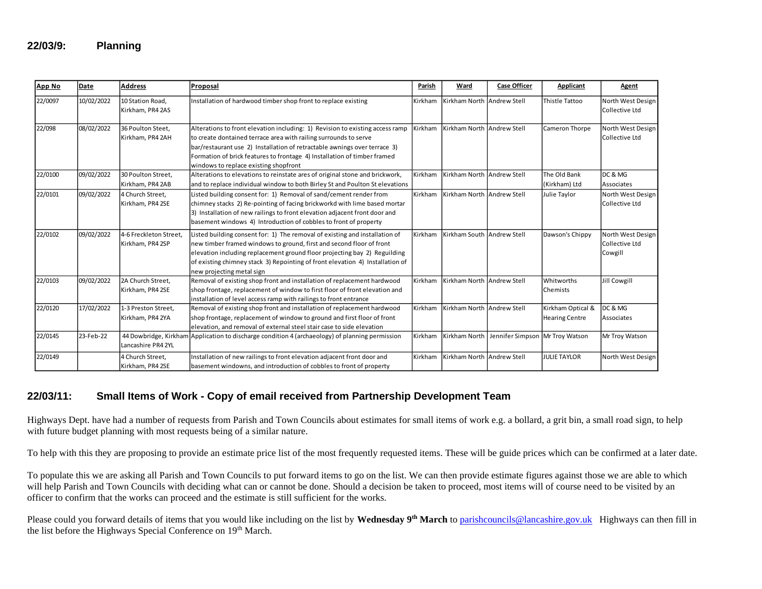#### **22/03/9: Planning**

| App No  | Date       | <b>Address</b>                             | Proposal                                                                                                                                                                                                                                                                                                                                            | Parish  | Ward                       | <b>Case Officer</b>             | Applicant                                  | Agent                                          |
|---------|------------|--------------------------------------------|-----------------------------------------------------------------------------------------------------------------------------------------------------------------------------------------------------------------------------------------------------------------------------------------------------------------------------------------------------|---------|----------------------------|---------------------------------|--------------------------------------------|------------------------------------------------|
| 22/0097 | 10/02/2022 | 10 Station Road,<br>Kirkham, PR4 2AS       | Installation of hardwood timber shop front to replace existing                                                                                                                                                                                                                                                                                      | Kirkham | Kirkham North Andrew Stell |                                 | <b>Thistle Tattoo</b>                      | North West Design<br>Collective Ltd            |
| 22/098  | 08/02/2022 | 36 Poulton Steet,<br>Kirkham, PR4 2AH      | Alterations to front elevation including: 1) Revision to existing access ramp<br>to create dontained terrace area with railing surrounds to serve<br>bar/restaurant use 2) Installation of retractable awnings over terrace 3)<br>Formation of brick features to frontage 4) Installation of timber framed<br>windows to replace existing shopfront | Kirkham | Kirkham North Andrew Stell |                                 | Cameron Thorpe                             | North West Design<br>Collective Ltd            |
| 22/0100 | 09/02/2022 | 30 Poulton Street,<br>Kirkham, PR4 2AB     | Alterations to elevations to reinstate ares of original stone and brickwork,<br>and to replace individual window to both Birley St and Poulton St elevations                                                                                                                                                                                        | Kirkham | Kirkham North Andrew Stell |                                 | The Old Bank<br>(Kirkham) Ltd              | DC & MG<br>Associates                          |
| 22/0101 | 09/02/2022 | 4 Church Street.<br>Kirkham, PR4 2SE       | Listed building consent for: 1) Removal of sand/cement render from<br>chimney stacks 2) Re-pointing of facing brickworkd with lime based mortar<br>3) Installation of new railings to front elevation adjacent front door and<br>basement windows 4) Introduction of cobbles to front of property                                                   | Kirkham | Kirkham North Andrew Stell |                                 | Julie Taylor                               | North West Design<br>Collective Ltd            |
| 22/0102 | 09/02/2022 | 4-6 Freckleton Street,<br>Kirkham, PR4 2SP | Listed building consent for: 1) The removal of existing and installation of<br>new timber framed windows to ground, first and second floor of front<br>elevation including replacement ground floor projecting bay 2) Reguilding<br>of existing chimney stack 3) Repointing of front elevation 4) Installation of<br>new projecting metal sign      | Kirkham | Kirkham South Andrew Stell |                                 | Dawson's Chippy                            | North West Design<br>Collective Ltd<br>Cowgill |
| 22/0103 | 09/02/2022 | 2A Church Street.<br>Kirkham, PR4 2SE      | Removal of existing shop front and installation of replacement hardwood<br>shop frontage, replacement of window to first floor of front elevation and<br>installation of level access ramp with railings to front entrance                                                                                                                          | Kirkham | Kirkham North Andrew Stell |                                 | Whitworths<br>Chemists                     | <b>Jill Cowgill</b>                            |
| 22/0120 | 17/02/2022 | 1-3 Preston Street,<br>Kirkham, PR4 2YA    | Removal of existing shop front and installation of replacement hardwood<br>shop frontage, replacement of window to ground and first floor of front<br>elevation, and removal of external steel stair case to side elevation                                                                                                                         | Kirkham | Kirkham North Andrew Stell |                                 | Kirkham Optical &<br><b>Hearing Centre</b> | DC & MG<br>Associates                          |
| 22/0145 | 23-Feb-22  | Lancashire PR4 2YL                         | 44 Dowbridge, Kirkham Application to discharge condition 4 (archaeology) of planning permission                                                                                                                                                                                                                                                     | Kirkham | Kirkham North              | Jennifer Simpson Mr Troy Watson |                                            | Mr Troy Watson                                 |
| 22/0149 |            | 4 Church Street,<br>Kirkham, PR4 2SE       | Installation of new railings to front elevation adjacent front door and<br>basement windowns, and introduction of cobbles to front of property                                                                                                                                                                                                      | Kirkham | Kirkham North Andrew Stell |                                 | <b>JULIE TAYLOR</b>                        | North West Design                              |

#### **22/03/11: Small Items of Work - Copy of email received from Partnership Development Team**

Highways Dept. have had a number of requests from Parish and Town Councils about estimates for small items of work e.g. a bollard, a grit bin, a small road sign, to help with future budget planning with most requests being of a similar nature.

To help with this they are proposing to provide an estimate price list of the most frequently requested items. These will be guide prices which can be confirmed at a later date.

To populate this we are asking all Parish and Town Councils to put forward items to go on the list. We can then provide estimate figures against those we are able to which will help Parish and Town Councils with deciding what can or cannot be done. Should a decision be taken to proceed, most items will of course need to be visited by an officer to confirm that the works can proceed and the estimate is still sufficient for the works.

Please could you forward details of items that you would like including on the list by **Wednesday 9th March** to [parishcouncils@lancashire.gov.uk](mailto:parishcouncils@lancashire.gov.uk) Highways can then fill in the list before the Highways Special Conference on 19<sup>th</sup> March.